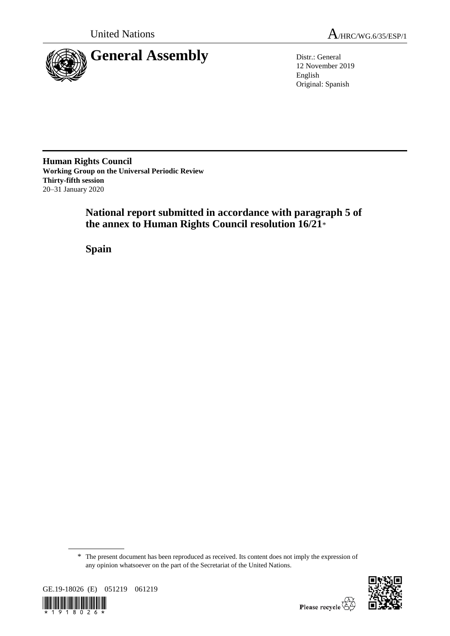

United Nations  $A_{HRC/WG.6/35/ESP/1}$ 

12 November 2019 English Original: Spanish

**Human Rights Council Working Group on the Universal Periodic Review Thirty-fifth session** 20–31 January 2020

> **National report submitted in accordance with paragraph 5 of the annex to Human Rights Council resolution 16/21**\*

**Spain**

<sup>\*</sup> The present document has been reproduced as received. Its content does not imply the expression of any opinion whatsoever on the part of the Secretariat of the United Nations.



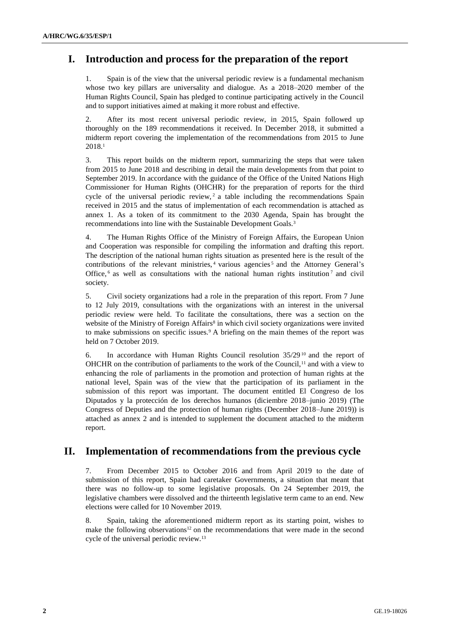# **I. Introduction and process for the preparation of the report**

Spain is of the view that the universal periodic review is a fundamental mechanism whose two key pillars are universality and dialogue. As a 2018–2020 member of the Human Rights Council, Spain has pledged to continue participating actively in the Council and to support initiatives aimed at making it more robust and effective.

2. After its most recent universal periodic review, in 2015, Spain followed up thoroughly on the 189 recommendations it received. In December 2018, it submitted a midterm report covering the implementation of the recommendations from 2015 to June 2018.<sup>1</sup>

3. This report builds on the midterm report, summarizing the steps that were taken from 2015 to June 2018 and describing in detail the main developments from that point to September 2019. In accordance with the guidance of the Office of the United Nations High Commissioner for Human Rights (OHCHR) for the preparation of reports for the third cycle of the universal periodic review,  $2a$  table including the recommendations Spain received in 2015 and the status of implementation of each recommendation is attached as annex 1. As a token of its commitment to the 2030 Agenda, Spain has brought the recommendations into line with the Sustainable Development Goals.<sup>3</sup>

4. The Human Rights Office of the Ministry of Foreign Affairs, the European Union and Cooperation was responsible for compiling the information and drafting this report. The description of the national human rights situation as presented here is the result of the contributions of the relevant ministries,  $4$  various agencies<sup>5</sup> and the Attorney General's Office,  $6$  as well as consultations with the national human rights institution  $7$  and civil society.

5. Civil society organizations had a role in the preparation of this report. From 7 June to 12 July 2019, consultations with the organizations with an interest in the universal periodic review were held. To facilitate the consultations, there was a section on the website of the Ministry of Foreign Affairs<sup>8</sup> in which civil society organizations were invited to make submissions on specific issues.<sup>9</sup> A briefing on the main themes of the report was held on 7 October 2019.

6. In accordance with Human Rights Council resolution 35/29 <sup>10</sup> and the report of OHCHR on the contribution of parliaments to the work of the Council,<sup>11</sup> and with a view to enhancing the role of parliaments in the promotion and protection of human rights at the national level, Spain was of the view that the participation of its parliament in the submission of this report was important. The document entitled El Congreso de los Diputados y la protección de los derechos humanos (diciembre 2018–junio 2019) (The Congress of Deputies and the protection of human rights (December 2018–June 2019)) is attached as annex 2 and is intended to supplement the document attached to the midterm report.

# **II. Implementation of recommendations from the previous cycle**

7. From December 2015 to October 2016 and from April 2019 to the date of submission of this report, Spain had caretaker Governments, a situation that meant that there was no follow-up to some legislative proposals. On 24 September 2019, the legislative chambers were dissolved and the thirteenth legislative term came to an end. New elections were called for 10 November 2019.

8. Spain, taking the aforementioned midterm report as its starting point, wishes to make the following observations<sup>12</sup> on the recommendations that were made in the second cycle of the universal periodic review.13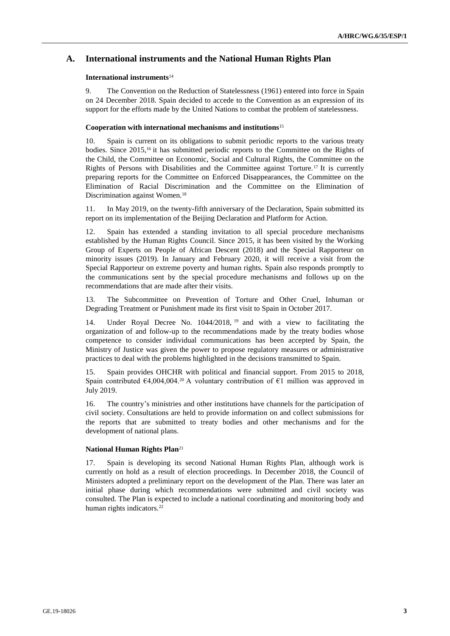# **A. International instruments and the National Human Rights Plan**

### **International instruments**<sup>14</sup>

9. The Convention on the Reduction of Statelessness (1961) entered into force in Spain on 24 December 2018. Spain decided to accede to the Convention as an expression of its support for the efforts made by the United Nations to combat the problem of statelessness.

### **Cooperation with international mechanisms and institutions**<sup>15</sup>

10. Spain is current on its obligations to submit periodic reports to the various treaty bodies. Since 2015,<sup>16</sup> it has submitted periodic reports to the Committee on the Rights of the Child, the Committee on Economic, Social and Cultural Rights, the Committee on the Rights of Persons with Disabilities and the Committee against Torture.<sup>17</sup> It is currently preparing reports for the Committee on Enforced Disappearances, the Committee on the Elimination of Racial Discrimination and the Committee on the Elimination of Discrimination against Women.<sup>18</sup>

11. In May 2019, on the twenty-fifth anniversary of the Declaration, Spain submitted its report on its implementation of the Beijing Declaration and Platform for Action.

12. Spain has extended a standing invitation to all special procedure mechanisms established by the Human Rights Council. Since 2015, it has been visited by the Working Group of Experts on People of African Descent (2018) and the Special Rapporteur on minority issues (2019). In January and February 2020, it will receive a visit from the Special Rapporteur on extreme poverty and human rights. Spain also responds promptly to the communications sent by the special procedure mechanisms and follows up on the recommendations that are made after their visits.

13. The Subcommittee on Prevention of Torture and Other Cruel, Inhuman or Degrading Treatment or Punishment made its first visit to Spain in October 2017.

14. Under Royal Decree No. 1044/2018, <sup>19</sup> and with a view to facilitating the organization of and follow-up to the recommendations made by the treaty bodies whose competence to consider individual communications has been accepted by Spain, the Ministry of Justice was given the power to propose regulatory measures or administrative practices to deal with the problems highlighted in the decisions transmitted to Spain.

Spain provides OHCHR with political and financial support. From 2015 to 2018, Spain contributed  $\epsilon$ 4,004,004.<sup>20</sup> A voluntary contribution of  $\epsilon$ 1 million was approved in July 2019.

16. The country's ministries and other institutions have channels for the participation of civil society. Consultations are held to provide information on and collect submissions for the reports that are submitted to treaty bodies and other mechanisms and for the development of national plans.

#### **National Human Rights Plan**<sup>21</sup>

17. Spain is developing its second National Human Rights Plan, although work is currently on hold as a result of election proceedings. In December 2018, the Council of Ministers adopted a preliminary report on the development of the Plan. There was later an initial phase during which recommendations were submitted and civil society was consulted. The Plan is expected to include a national coordinating and monitoring body and human rights indicators.<sup>22</sup>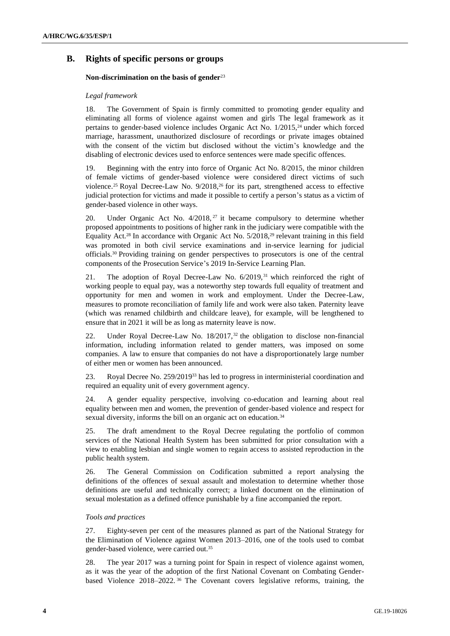# **B. Rights of specific persons or groups**

# **Non-discrimination on the basis of gender**<sup>23</sup>

### *Legal framework*

18. The Government of Spain is firmly committed to promoting gender equality and eliminating all forms of violence against women and girls The legal framework as it pertains to gender-based violence includes Organic Act No. 1/2015,<sup>24</sup> under which forced marriage, harassment, unauthorized disclosure of recordings or private images obtained with the consent of the victim but disclosed without the victim's knowledge and the disabling of electronic devices used to enforce sentences were made specific offences.

19. Beginning with the entry into force of Organic Act No. 8/2015, the minor children of female victims of gender-based violence were considered direct victims of such violence.<sup>25</sup> Royal Decree-Law No. 9/2018,<sup>26</sup> for its part, strengthened access to effective judicial protection for victims and made it possible to certify a person's status as a victim of gender-based violence in other ways.

20. Under Organic Act No. 4/2018, <sup>27</sup> it became compulsory to determine whether proposed appointments to positions of higher rank in the judiciary were compatible with the Equality Act.<sup>28</sup> In accordance with Organic Act No.  $5/2018$ ,<sup>29</sup> relevant training in this field was promoted in both civil service examinations and in-service learning for judicial officials.<sup>30</sup> Providing training on gender perspectives to prosecutors is one of the central components of the Prosecution Service's 2019 In-Service Learning Plan.

21. The adoption of Royal Decree-Law No. 6/2019,<sup>31</sup> which reinforced the right of working people to equal pay, was a noteworthy step towards full equality of treatment and opportunity for men and women in work and employment. Under the Decree-Law, measures to promote reconciliation of family life and work were also taken. Paternity leave (which was renamed childbirth and childcare leave), for example, will be lengthened to ensure that in 2021 it will be as long as maternity leave is now.

22. Under Royal Decree-Law No. 18/2017,<sup>32</sup> the obligation to disclose non-financial information, including information related to gender matters, was imposed on some companies. A law to ensure that companies do not have a disproportionately large number of either men or women has been announced.

23. Royal Decree No. 259/2019 <sup>33</sup> has led to progress in interministerial coordination and required an equality unit of every government agency.

24. A gender equality perspective, involving co-education and learning about real equality between men and women, the prevention of gender-based violence and respect for sexual diversity, informs the bill on an organic act on education.<sup>34</sup>

25. The draft amendment to the Royal Decree regulating the portfolio of common services of the National Health System has been submitted for prior consultation with a view to enabling lesbian and single women to regain access to assisted reproduction in the public health system.

26. The General Commission on Codification submitted a report analysing the definitions of the offences of sexual assault and molestation to determine whether those definitions are useful and technically correct; a linked document on the elimination of sexual molestation as a defined offence punishable by a fine accompanied the report.

#### *Tools and practices*

27. Eighty-seven per cent of the measures planned as part of the National Strategy for the Elimination of Violence against Women 2013–2016, one of the tools used to combat gender-based violence, were carried out.<sup>35</sup>

28. The year 2017 was a turning point for Spain in respect of violence against women, as it was the year of the adoption of the first National Covenant on Combating Genderbased Violence 2018–2022. <sup>36</sup> The Covenant covers legislative reforms, training, the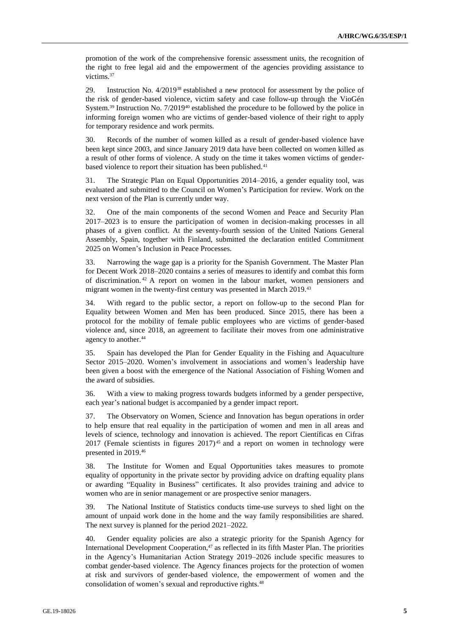promotion of the work of the comprehensive forensic assessment units, the recognition of the right to free legal aid and the empowerment of the agencies providing assistance to victims.<sup>37</sup>

29. Instruction No. 4/2019<sup>38</sup> established a new protocol for assessment by the police of the risk of gender-based violence, victim safety and case follow-up through the VioGén System.<sup>39</sup> Instruction No.  $7/2019^{40}$  established the procedure to be followed by the police in informing foreign women who are victims of gender-based violence of their right to apply for temporary residence and work permits.

30. Records of the number of women killed as a result of gender-based violence have been kept since 2003, and since January 2019 data have been collected on women killed as a result of other forms of violence. A study on the time it takes women victims of genderbased violence to report their situation has been published.<sup>41</sup>

31. The Strategic Plan on Equal Opportunities 2014–2016, a gender equality tool, was evaluated and submitted to the Council on Women's Participation for review. Work on the next version of the Plan is currently under way.

32. One of the main components of the second Women and Peace and Security Plan 2017–2023 is to ensure the participation of women in decision-making processes in all phases of a given conflict. At the seventy-fourth session of the United Nations General Assembly, Spain, together with Finland, submitted the declaration entitled Commitment 2025 on Women's Inclusion in Peace Processes.

33. Narrowing the wage gap is a priority for the Spanish Government. The Master Plan for Decent Work 2018–2020 contains a series of measures to identify and combat this form of discrimination. <sup>42</sup> A report on women in the labour market, women pensioners and migrant women in the twenty-first century was presented in March 2019.<sup>43</sup>

34. With regard to the public sector, a report on follow-up to the second Plan for Equality between Women and Men has been produced. Since 2015, there has been a protocol for the mobility of female public employees who are victims of gender-based violence and, since 2018, an agreement to facilitate their moves from one administrative agency to another.<sup>44</sup>

35. Spain has developed the Plan for Gender Equality in the Fishing and Aquaculture Sector 2015–2020. Women's involvement in associations and women's leadership have been given a boost with the emergence of the National Association of Fishing Women and the award of subsidies.

36. With a view to making progress towards budgets informed by a gender perspective, each year's national budget is accompanied by a gender impact report.

37. The Observatory on Women, Science and Innovation has begun operations in order to help ensure that real equality in the participation of women and men in all areas and levels of science, technology and innovation is achieved. The report Científicas en Cifras  $2017$  (Female scientists in figures  $2017)^{45}$  and a report on women in technology were presented in 2019.<sup>46</sup>

38. The Institute for Women and Equal Opportunities takes measures to promote equality of opportunity in the private sector by providing advice on drafting equality plans or awarding "Equality in Business" certificates. It also provides training and advice to women who are in senior management or are prospective senior managers.

39. The National Institute of Statistics conducts time-use surveys to shed light on the amount of unpaid work done in the home and the way family responsibilities are shared. The next survey is planned for the period 2021–2022.

40. Gender equality policies are also a strategic priority for the Spanish Agency for International Development Cooperation,<sup>47</sup> as reflected in its fifth Master Plan. The priorities in the Agency's Humanitarian Action Strategy 2019–2026 include specific measures to combat gender-based violence. The Agency finances projects for the protection of women at risk and survivors of gender-based violence, the empowerment of women and the consolidation of women's sexual and reproductive rights.<sup>48</sup>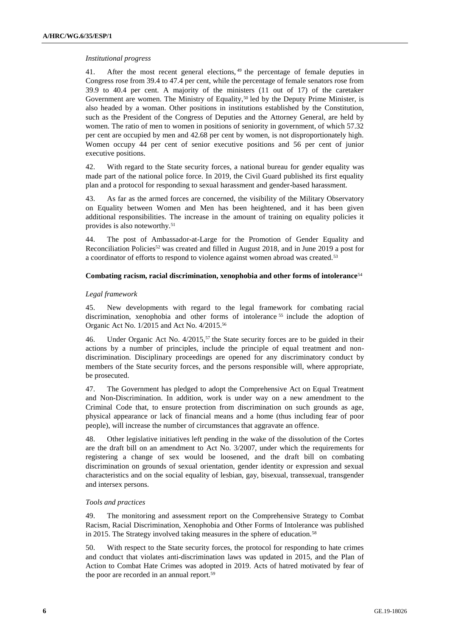### *Institutional progress*

41. After the most recent general elections, <sup>49</sup> the percentage of female deputies in Congress rose from 39.4 to 47.4 per cent, while the percentage of female senators rose from 39.9 to 40.4 per cent. A majority of the ministers (11 out of 17) of the caretaker Government are women. The Ministry of Equality,<sup>50</sup> led by the Deputy Prime Minister, is also headed by a woman. Other positions in institutions established by the Constitution, such as the President of the Congress of Deputies and the Attorney General, are held by women. The ratio of men to women in positions of seniority in government, of which 57.32 per cent are occupied by men and 42.68 per cent by women, is not disproportionately high. Women occupy 44 per cent of senior executive positions and 56 per cent of junior executive positions.

42. With regard to the State security forces, a national bureau for gender equality was made part of the national police force. In 2019, the Civil Guard published its first equality plan and a protocol for responding to sexual harassment and gender-based harassment.

43. As far as the armed forces are concerned, the visibility of the Military Observatory on Equality between Women and Men has been heightened, and it has been given additional responsibilities. The increase in the amount of training on equality policies it provides is also noteworthy.<sup>51</sup>

44. The post of Ambassador-at-Large for the Promotion of Gender Equality and Reconciliation Policies<sup>52</sup> was created and filled in August 2018, and in June 2019 a post for a coordinator of efforts to respond to violence against women abroad was created.<sup>53</sup>

### **Combating racism, racial discrimination, xenophobia and other forms of intolerance**<sup>54</sup>

### *Legal framework*

45. New developments with regard to the legal framework for combating racial discrimination, xenophobia and other forms of intolerance <sup>55</sup> include the adoption of Organic Act No. 1/2015 and Act No. 4/2015.<sup>56</sup>

46. Under Organic Act No. 4/2015,<sup>57</sup> the State security forces are to be guided in their actions by a number of principles, include the principle of equal treatment and nondiscrimination. Disciplinary proceedings are opened for any discriminatory conduct by members of the State security forces, and the persons responsible will, where appropriate, be prosecuted.

47. The Government has pledged to adopt the Comprehensive Act on Equal Treatment and Non-Discrimination. In addition, work is under way on a new amendment to the Criminal Code that, to ensure protection from discrimination on such grounds as age, physical appearance or lack of financial means and a home (thus including fear of poor people), will increase the number of circumstances that aggravate an offence.

48. Other legislative initiatives left pending in the wake of the dissolution of the Cortes are the draft bill on an amendment to Act No. 3/2007, under which the requirements for registering a change of sex would be loosened, and the draft bill on combating discrimination on grounds of sexual orientation, gender identity or expression and sexual characteristics and on the social equality of lesbian, gay, bisexual, transsexual, transgender and intersex persons.

#### *Tools and practices*

49. The monitoring and assessment report on the Comprehensive Strategy to Combat Racism, Racial Discrimination, Xenophobia and Other Forms of Intolerance was published in 2015. The Strategy involved taking measures in the sphere of education.<sup>58</sup>

50. With respect to the State security forces, the protocol for responding to hate crimes and conduct that violates anti-discrimination laws was updated in 2015, and the Plan of Action to Combat Hate Crimes was adopted in 2019. Acts of hatred motivated by fear of the poor are recorded in an annual report.<sup>59</sup>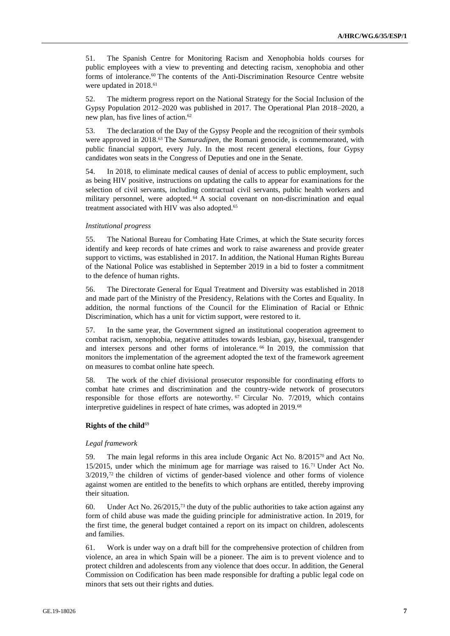51. The Spanish Centre for Monitoring Racism and Xenophobia holds courses for public employees with a view to preventing and detecting racism, xenophobia and other forms of intolerance.<sup>60</sup> The contents of the Anti-Discrimination Resource Centre website were updated in 2018.<sup>61</sup>

52. The midterm progress report on the National Strategy for the Social Inclusion of the Gypsy Population 2012–2020 was published in 2017. The Operational Plan 2018–2020, a new plan, has five lines of action.<sup>62</sup>

53. The declaration of the Day of the Gypsy People and the recognition of their symbols were approved in 2018.<sup>63</sup> The *Samuradipen*, the Romani genocide, is commemorated, with public financial support, every July. In the most recent general elections, four Gypsy candidates won seats in the Congress of Deputies and one in the Senate.

54. In 2018, to eliminate medical causes of denial of access to public employment, such as being HIV positive, instructions on updating the calls to appear for examinations for the selection of civil servants, including contractual civil servants, public health workers and military personnel, were adopted.<sup>64</sup> A social covenant on non-discrimination and equal treatment associated with HIV was also adopted.<sup>65</sup>

#### *Institutional progress*

55. The National Bureau for Combating Hate Crimes, at which the State security forces identify and keep records of hate crimes and work to raise awareness and provide greater support to victims, was established in 2017. In addition, the National Human Rights Bureau of the National Police was established in September 2019 in a bid to foster a commitment to the defence of human rights.

56. The Directorate General for Equal Treatment and Diversity was established in 2018 and made part of the Ministry of the Presidency, Relations with the Cortes and Equality. In addition, the normal functions of the Council for the Elimination of Racial or Ethnic Discrimination, which has a unit for victim support, were restored to it.

57. In the same year, the Government signed an institutional cooperation agreement to combat racism, xenophobia, negative attitudes towards lesbian, gay, bisexual, transgender and intersex persons and other forms of intolerance. <sup>66</sup> In 2019, the commission that monitors the implementation of the agreement adopted the text of the framework agreement on measures to combat online hate speech.

58. The work of the chief divisional prosecutor responsible for coordinating efforts to combat hate crimes and discrimination and the country-wide network of prosecutors responsible for those efforts are noteworthy.  $67$  Circular No. 7/2019, which contains interpretive guidelines in respect of hate crimes, was adopted in 2019.<sup>68</sup>

### **Rights of the child<sup>69</sup>**

#### *Legal framework*

59. The main legal reforms in this area include Organic Act No. 8/2015<sup>70</sup> and Act No. 15/2015, under which the minimum age for marriage was raised to 16.<sup>71</sup> Under Act No. 3/2019,<sup>72</sup> the children of victims of gender-based violence and other forms of violence against women are entitled to the benefits to which orphans are entitled, thereby improving their situation.

60. Under Act No. 26/2015,<sup>73</sup> the duty of the public authorities to take action against any form of child abuse was made the guiding principle for administrative action. In 2019, for the first time, the general budget contained a report on its impact on children, adolescents and families.

61. Work is under way on a draft bill for the comprehensive protection of children from violence, an area in which Spain will be a pioneer. The aim is to prevent violence and to protect children and adolescents from any violence that does occur. In addition, the General Commission on Codification has been made responsible for drafting a public legal code on minors that sets out their rights and duties.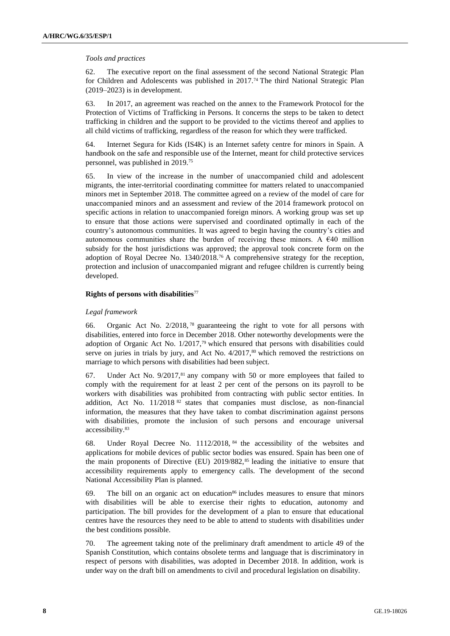#### *Tools and practices*

62. The executive report on the final assessment of the second National Strategic Plan for Children and Adolescents was published in 2017.<sup>74</sup> The third National Strategic Plan (2019–2023) is in development.

63. In 2017, an agreement was reached on the annex to the Framework Protocol for the Protection of Victims of Trafficking in Persons. It concerns the steps to be taken to detect trafficking in children and the support to be provided to the victims thereof and applies to all child victims of trafficking, regardless of the reason for which they were trafficked.

64. Internet Segura for Kids (IS4K) is an Internet safety centre for minors in Spain. A handbook on the safe and responsible use of the Internet, meant for child protective services personnel, was published in 2019.<sup>75</sup>

65. In view of the increase in the number of unaccompanied child and adolescent migrants, the inter-territorial coordinating committee for matters related to unaccompanied minors met in September 2018. The committee agreed on a review of the model of care for unaccompanied minors and an assessment and review of the 2014 framework protocol on specific actions in relation to unaccompanied foreign minors. A working group was set up to ensure that those actions were supervised and coordinated optimally in each of the country's autonomous communities. It was agreed to begin having the country's cities and autonomous communities share the burden of receiving these minors. A  $\epsilon$ 40 million subsidy for the host jurisdictions was approved; the approval took concrete form on the adoption of Royal Decree No. 1340/2018.<sup>76</sup> A comprehensive strategy for the reception, protection and inclusion of unaccompanied migrant and refugee children is currently being developed.

### **Rights of persons with disabilities**<sup>77</sup>

### *Legal framework*

66. Organic Act No. 2/2018, <sup>78</sup> guaranteeing the right to vote for all persons with disabilities, entered into force in December 2018. Other noteworthy developments were the adoption of Organic Act No.  $1/2017$ ,<sup>79</sup> which ensured that persons with disabilities could serve on juries in trials by jury, and Act No.  $4/2017$ ,<sup>80</sup> which removed the restrictions on marriage to which persons with disabilities had been subject.

67. Under Act No.  $9/2017$ ,  $81$  any company with 50 or more employees that failed to comply with the requirement for at least 2 per cent of the persons on its payroll to be workers with disabilities was prohibited from contracting with public sector entities. In addition, Act No.  $11/2018$ <sup>82</sup> states that companies must disclose, as non-financial information, the measures that they have taken to combat discrimination against persons with disabilities, promote the inclusion of such persons and encourage universal accessibility.<sup>83</sup>

68. Under Royal Decree No. 1112/2018, <sup>84</sup> the accessibility of the websites and applications for mobile devices of public sector bodies was ensured. Spain has been one of the main proponents of Directive (EU)  $2019/882$ ,<sup>85</sup> leading the initiative to ensure that accessibility requirements apply to emergency calls. The development of the second National Accessibility Plan is planned.

69. The bill on an organic act on education<sup>86</sup> includes measures to ensure that minors with disabilities will be able to exercise their rights to education, autonomy and participation. The bill provides for the development of a plan to ensure that educational centres have the resources they need to be able to attend to students with disabilities under the best conditions possible.

70. The agreement taking note of the preliminary draft amendment to article 49 of the Spanish Constitution, which contains obsolete terms and language that is discriminatory in respect of persons with disabilities, was adopted in December 2018. In addition, work is under way on the draft bill on amendments to civil and procedural legislation on disability.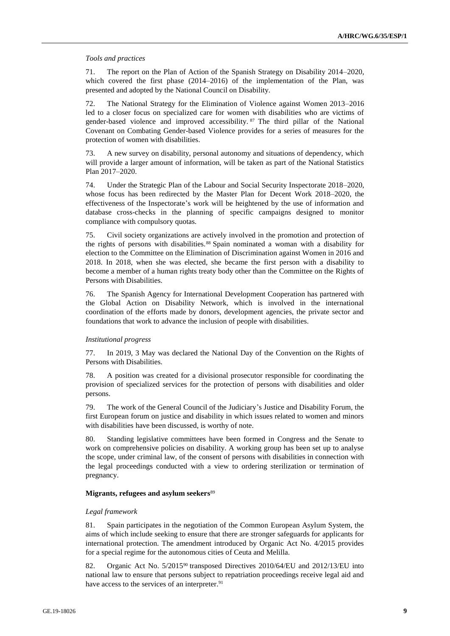#### *Tools and practices*

71. The report on the Plan of Action of the Spanish Strategy on Disability 2014–2020, which covered the first phase (2014–2016) of the implementation of the Plan, was presented and adopted by the National Council on Disability.

72. The National Strategy for the Elimination of Violence against Women 2013–2016 led to a closer focus on specialized care for women with disabilities who are victims of gender-based violence and improved accessibility. <sup>87</sup> The third pillar of the National Covenant on Combating Gender-based Violence provides for a series of measures for the protection of women with disabilities.

73. A new survey on disability, personal autonomy and situations of dependency, which will provide a larger amount of information, will be taken as part of the National Statistics Plan 2017–2020.

74. Under the Strategic Plan of the Labour and Social Security Inspectorate 2018–2020, whose focus has been redirected by the Master Plan for Decent Work 2018–2020, the effectiveness of the Inspectorate's work will be heightened by the use of information and database cross-checks in the planning of specific campaigns designed to monitor compliance with compulsory quotas.

75. Civil society organizations are actively involved in the promotion and protection of the rights of persons with disabilities.<sup>88</sup> Spain nominated a woman with a disability for election to the Committee on the Elimination of Discrimination against Women in 2016 and 2018. In 2018, when she was elected, she became the first person with a disability to become a member of a human rights treaty body other than the Committee on the Rights of Persons with Disabilities.

76. The Spanish Agency for International Development Cooperation has partnered with the Global Action on Disability Network, which is involved in the international coordination of the efforts made by donors, development agencies, the private sector and foundations that work to advance the inclusion of people with disabilities.

#### *Institutional progress*

77. In 2019, 3 May was declared the National Day of the Convention on the Rights of Persons with Disabilities.

78. A position was created for a divisional prosecutor responsible for coordinating the provision of specialized services for the protection of persons with disabilities and older persons.

79. The work of the General Council of the Judiciary's Justice and Disability Forum, the first European forum on justice and disability in which issues related to women and minors with disabilities have been discussed, is worthy of note.

80. Standing legislative committees have been formed in Congress and the Senate to work on comprehensive policies on disability. A working group has been set up to analyse the scope, under criminal law, of the consent of persons with disabilities in connection with the legal proceedings conducted with a view to ordering sterilization or termination of pregnancy.

#### **Migrants, refugees and asylum seekers**<sup>89</sup>

#### *Legal framework*

81. Spain participates in the negotiation of the Common European Asylum System, the aims of which include seeking to ensure that there are stronger safeguards for applicants for international protection. The amendment introduced by Organic Act No. 4/2015 provides for a special regime for the autonomous cities of Ceuta and Melilla.

82. Organic Act No. 5/2015<sup>90</sup> transposed Directives 2010/64/EU and 2012/13/EU into national law to ensure that persons subject to repatriation proceedings receive legal aid and have access to the services of an interpreter.<sup>91</sup>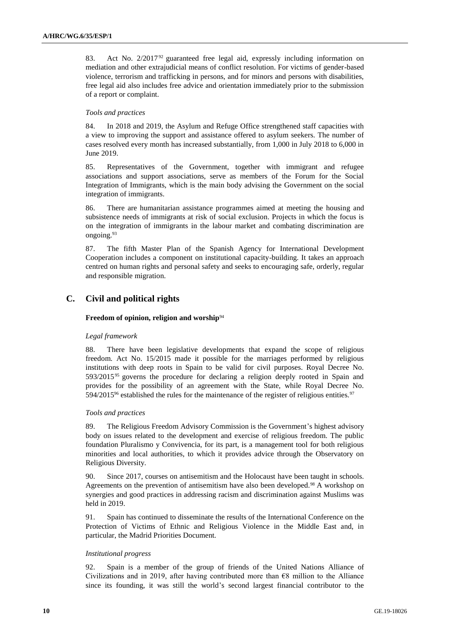83. Act No. 2/2017<sup>92</sup> guaranteed free legal aid, expressly including information on mediation and other extrajudicial means of conflict resolution. For victims of gender-based violence, terrorism and trafficking in persons, and for minors and persons with disabilities, free legal aid also includes free advice and orientation immediately prior to the submission of a report or complaint.

### *Tools and practices*

84. In 2018 and 2019, the Asylum and Refuge Office strengthened staff capacities with a view to improving the support and assistance offered to asylum seekers. The number of cases resolved every month has increased substantially, from 1,000 in July 2018 to 6,000 in June 2019.

85. Representatives of the Government, together with immigrant and refugee associations and support associations, serve as members of the Forum for the Social Integration of Immigrants, which is the main body advising the Government on the social integration of immigrants.

86. There are humanitarian assistance programmes aimed at meeting the housing and subsistence needs of immigrants at risk of social exclusion. Projects in which the focus is on the integration of immigrants in the labour market and combating discrimination are ongoing.<sup>93</sup>

87. The fifth Master Plan of the Spanish Agency for International Development Cooperation includes a component on institutional capacity-building. It takes an approach centred on human rights and personal safety and seeks to encouraging safe, orderly, regular and responsible migration.

# **C. Civil and political rights**

# **Freedom of opinion, religion and worship**<sup>94</sup>

# *Legal framework*

88. There have been legislative developments that expand the scope of religious freedom. Act No. 15/2015 made it possible for the marriages performed by religious institutions with deep roots in Spain to be valid for civil purposes. Royal Decree No. 593/2015<sup>95</sup> governs the procedure for declaring a religion deeply rooted in Spain and provides for the possibility of an agreement with the State, while Royal Decree No. 594/2015<sup>96</sup> established the rules for the maintenance of the register of religious entities.<sup>97</sup>

# *Tools and practices*

89. The Religious Freedom Advisory Commission is the Government's highest advisory body on issues related to the development and exercise of religious freedom. The public foundation Pluralismo y Convivencia, for its part, is a management tool for both religious minorities and local authorities, to which it provides advice through the Observatory on Religious Diversity.

90. Since 2017, courses on antisemitism and the Holocaust have been taught in schools. Agreements on the prevention of antisemitism have also been developed.<sup>98</sup> A workshop on synergies and good practices in addressing racism and discrimination against Muslims was held in 2019.

91. Spain has continued to disseminate the results of the International Conference on the Protection of Victims of Ethnic and Religious Violence in the Middle East and, in particular, the Madrid Priorities Document.

# *Institutional progress*

92. Spain is a member of the group of friends of the United Nations Alliance of Civilizations and in 2019, after having contributed more than  $\epsilon$ 8 million to the Alliance since its founding, it was still the world's second largest financial contributor to the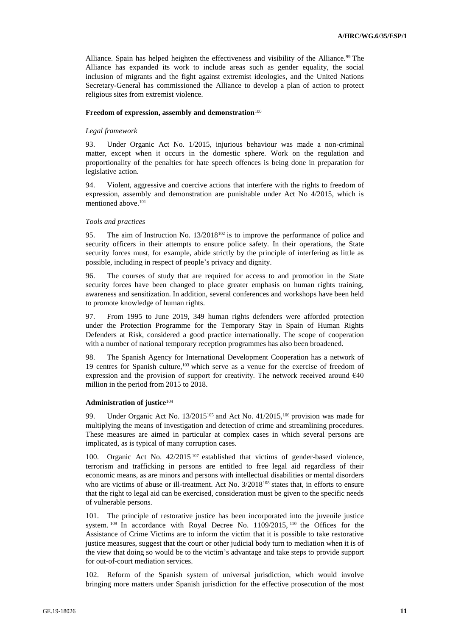Alliance. Spain has helped heighten the effectiveness and visibility of the Alliance.<sup>99</sup> The Alliance has expanded its work to include areas such as gender equality, the social inclusion of migrants and the fight against extremist ideologies, and the United Nations Secretary-General has commissioned the Alliance to develop a plan of action to protect religious sites from extremist violence.

#### **Freedom of expression, assembly and demonstration**<sup>100</sup>

#### *Legal framework*

93. Under Organic Act No. 1/2015, injurious behaviour was made a non-criminal matter, except when it occurs in the domestic sphere. Work on the regulation and proportionality of the penalties for hate speech offences is being done in preparation for legislative action.

94. Violent, aggressive and coercive actions that interfere with the rights to freedom of expression, assembly and demonstration are punishable under Act No 4/2015, which is mentioned above.<sup>101</sup>

#### *Tools and practices*

95. The aim of Instruction No. 13/2018<sup>102</sup> is to improve the performance of police and security officers in their attempts to ensure police safety. In their operations, the State security forces must, for example, abide strictly by the principle of interfering as little as possible, including in respect of people's privacy and dignity.

96. The courses of study that are required for access to and promotion in the State security forces have been changed to place greater emphasis on human rights training, awareness and sensitization. In addition, several conferences and workshops have been held to promote knowledge of human rights.

97. From 1995 to June 2019, 349 human rights defenders were afforded protection under the Protection Programme for the Temporary Stay in Spain of Human Rights Defenders at Risk, considered a good practice internationally. The scope of cooperation with a number of national temporary reception programmes has also been broadened.

98. The Spanish Agency for International Development Cooperation has a network of 19 centres for Spanish culture,<sup>103</sup> which serve as a venue for the exercise of freedom of expression and the provision of support for creativity. The network received around  $640$ million in the period from 2015 to 2018.

#### **Administration of justice**<sup>104</sup>

99. Under Organic Act No. 13/2015<sup>105</sup> and Act No. 41/2015,<sup>106</sup> provision was made for multiplying the means of investigation and detection of crime and streamlining procedures. These measures are aimed in particular at complex cases in which several persons are implicated, as is typical of many corruption cases.

100. Organic Act No.  $42/2015^{107}$  established that victims of gender-based violence, terrorism and trafficking in persons are entitled to free legal aid regardless of their economic means, as are minors and persons with intellectual disabilities or mental disorders who are victims of abuse or ill-treatment. Act No. 3/2018<sup>108</sup> states that, in efforts to ensure that the right to legal aid can be exercised, consideration must be given to the specific needs of vulnerable persons.

101. The principle of restorative justice has been incorporated into the juvenile justice system.  $109$  In accordance with Royal Decree No.  $1109/2015$ ,  $110$  the Offices for the Assistance of Crime Victims are to inform the victim that it is possible to take restorative justice measures, suggest that the court or other judicial body turn to mediation when it is of the view that doing so would be to the victim's advantage and take steps to provide support for out-of-court mediation services.

102. Reform of the Spanish system of universal jurisdiction, which would involve bringing more matters under Spanish jurisdiction for the effective prosecution of the most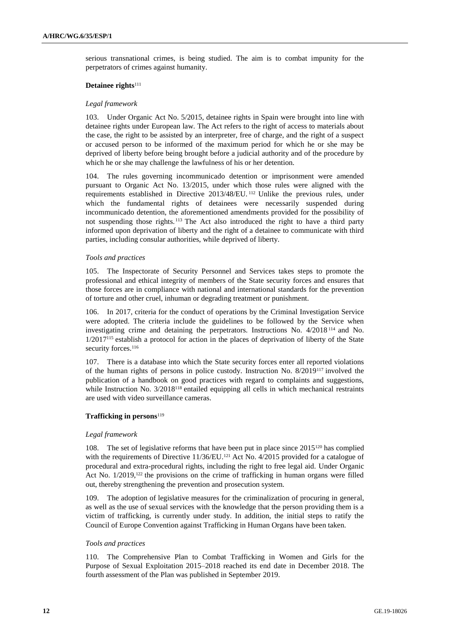serious transnational crimes, is being studied. The aim is to combat impunity for the perpetrators of crimes against humanity.

#### **Detainee rights**<sup>111</sup>

#### *Legal framework*

103. Under Organic Act No. 5/2015, detainee rights in Spain were brought into line with detainee rights under European law. The Act refers to the right of access to materials about the case, the right to be assisted by an interpreter, free of charge, and the right of a suspect or accused person to be informed of the maximum period for which he or she may be deprived of liberty before being brought before a judicial authority and of the procedure by which he or she may challenge the lawfulness of his or her detention.

104. The rules governing incommunicado detention or imprisonment were amended pursuant to Organic Act No. 13/2015, under which those rules were aligned with the requirements established in Directive 2013/48/EU. <sup>112</sup> Unlike the previous rules, under which the fundamental rights of detainees were necessarily suspended during incommunicado detention, the aforementioned amendments provided for the possibility of not suspending those rights. <sup>113</sup> The Act also introduced the right to have a third party informed upon deprivation of liberty and the right of a detainee to communicate with third parties, including consular authorities, while deprived of liberty.

### *Tools and practices*

105. The Inspectorate of Security Personnel and Services takes steps to promote the professional and ethical integrity of members of the State security forces and ensures that those forces are in compliance with national and international standards for the prevention of torture and other cruel, inhuman or degrading treatment or punishment.

106. In 2017, criteria for the conduct of operations by the Criminal Investigation Service were adopted. The criteria include the guidelines to be followed by the Service when investigating crime and detaining the perpetrators. Instructions No. 4/2018 <sup>114</sup> and No. 1/2017<sup>115</sup> establish a protocol for action in the places of deprivation of liberty of the State security forces.<sup>116</sup>

107. There is a database into which the State security forces enter all reported violations of the human rights of persons in police custody. Instruction No. 8/2019<sup>117</sup> involved the publication of a handbook on good practices with regard to complaints and suggestions, while Instruction No. 3/2018<sup>118</sup> entailed equipping all cells in which mechanical restraints are used with video surveillance cameras.

#### **Trafficking in persons**<sup>119</sup>

#### *Legal framework*

108. The set of legislative reforms that have been put in place since 2015<sup>120</sup> has complied with the requirements of Directive 11/36/EU.<sup>121</sup> Act No. 4/2015 provided for a catalogue of procedural and extra-procedural rights, including the right to free legal aid. Under Organic Act No. 1/2019,<sup>122</sup> the provisions on the crime of trafficking in human organs were filled out, thereby strengthening the prevention and prosecution system.

109. The adoption of legislative measures for the criminalization of procuring in general, as well as the use of sexual services with the knowledge that the person providing them is a victim of trafficking, is currently under study. In addition, the initial steps to ratify the Council of Europe Convention against Trafficking in Human Organs have been taken.

#### *Tools and practices*

110. The Comprehensive Plan to Combat Trafficking in Women and Girls for the Purpose of Sexual Exploitation 2015–2018 reached its end date in December 2018. The fourth assessment of the Plan was published in September 2019.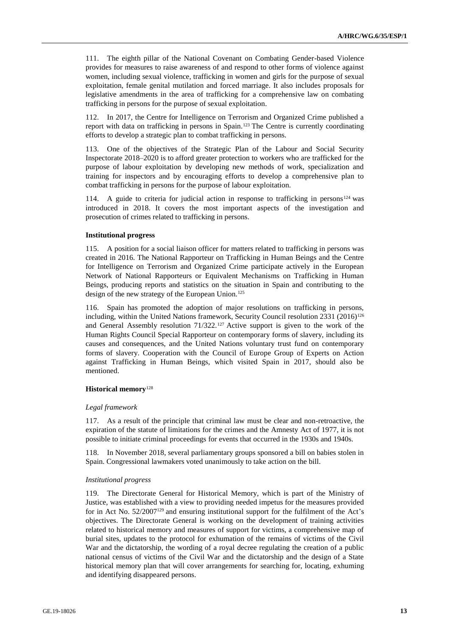111. The eighth pillar of the National Covenant on Combating Gender-based Violence provides for measures to raise awareness of and respond to other forms of violence against women, including sexual violence, trafficking in women and girls for the purpose of sexual exploitation, female genital mutilation and forced marriage. It also includes proposals for legislative amendments in the area of trafficking for a comprehensive law on combating trafficking in persons for the purpose of sexual exploitation.

112. In 2017, the Centre for Intelligence on Terrorism and Organized Crime published a report with data on trafficking in persons in Spain.<sup>123</sup> The Centre is currently coordinating efforts to develop a strategic plan to combat trafficking in persons.

113. One of the objectives of the Strategic Plan of the Labour and Social Security Inspectorate 2018–2020 is to afford greater protection to workers who are trafficked for the purpose of labour exploitation by developing new methods of work, specialization and training for inspectors and by encouraging efforts to develop a comprehensive plan to combat trafficking in persons for the purpose of labour exploitation.

114. A guide to criteria for judicial action in response to trafficking in persons<sup>124</sup> was introduced in 2018. It covers the most important aspects of the investigation and prosecution of crimes related to trafficking in persons.

### **Institutional progress**

115. A position for a social liaison officer for matters related to trafficking in persons was created in 2016. The National Rapporteur on Trafficking in Human Beings and the Centre for Intelligence on Terrorism and Organized Crime participate actively in the European Network of National Rapporteurs or Equivalent Mechanisms on Trafficking in Human Beings, producing reports and statistics on the situation in Spain and contributing to the design of the new strategy of the European Union.<sup>125</sup>

116. Spain has promoted the adoption of major resolutions on trafficking in persons, including, within the United Nations framework, Security Council resolution 2331 (2016)<sup>126</sup> and General Assembly resolution 71/322.<sup>127</sup> Active support is given to the work of the Human Rights Council Special Rapporteur on contemporary forms of slavery, including its causes and consequences, and the United Nations voluntary trust fund on contemporary forms of slavery. Cooperation with the Council of Europe Group of Experts on Action against Trafficking in Human Beings, which visited Spain in 2017, should also be mentioned.

#### **Historical memory**<sup>128</sup>

#### *Legal framework*

117. As a result of the principle that criminal law must be clear and non-retroactive, the expiration of the statute of limitations for the crimes and the Amnesty Act of 1977, it is not possible to initiate criminal proceedings for events that occurred in the 1930s and 1940s.

118. In November 2018, several parliamentary groups sponsored a bill on babies stolen in Spain. Congressional lawmakers voted unanimously to take action on the bill.

#### *Institutional progress*

119. The Directorate General for Historical Memory, which is part of the Ministry of Justice, was established with a view to providing needed impetus for the measures provided for in Act No. 52/2007<sup>129</sup> and ensuring institutional support for the fulfilment of the Act's objectives. The Directorate General is working on the development of training activities related to historical memory and measures of support for victims, a comprehensive map of burial sites, updates to the protocol for exhumation of the remains of victims of the Civil War and the dictatorship, the wording of a royal decree regulating the creation of a public national census of victims of the Civil War and the dictatorship and the design of a State historical memory plan that will cover arrangements for searching for, locating, exhuming and identifying disappeared persons.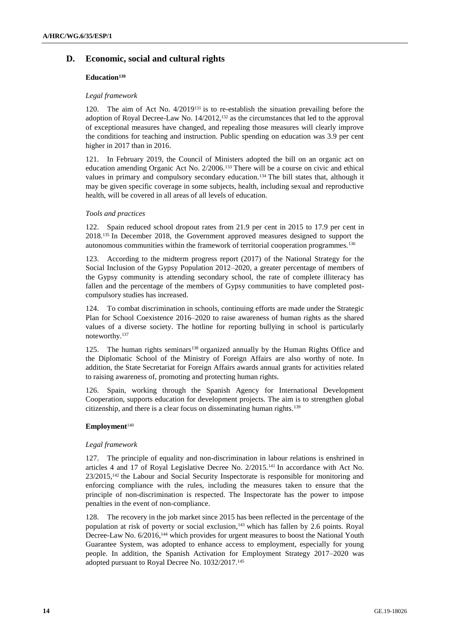# **D. Economic, social and cultural rights**

# **Education<sup>130</sup>**

# *Legal framework*

120. The aim of Act No. 4/2019<sup>131</sup> is to re-establish the situation prevailing before the adoption of Royal Decree-Law No. 14/2012,<sup>132</sup> as the circumstances that led to the approval of exceptional measures have changed, and repealing those measures will clearly improve the conditions for teaching and instruction. Public spending on education was 3.9 per cent higher in 2017 than in 2016.

121. In February 2019, the Council of Ministers adopted the bill on an organic act on education amending Organic Act No. 2/2006.<sup>133</sup> There will be a course on civic and ethical values in primary and compulsory secondary education.<sup>134</sup> The bill states that, although it may be given specific coverage in some subjects, health, including sexual and reproductive health, will be covered in all areas of all levels of education.

# *Tools and practices*

122. Spain reduced school dropout rates from 21.9 per cent in 2015 to 17.9 per cent in 2018.<sup>135</sup> In December 2018, the Government approved measures designed to support the autonomous communities within the framework of territorial cooperation programmes.<sup>136</sup>

123. According to the midterm progress report (2017) of the National Strategy for the Social Inclusion of the Gypsy Population 2012–2020, a greater percentage of members of the Gypsy community is attending secondary school, the rate of complete illiteracy has fallen and the percentage of the members of Gypsy communities to have completed postcompulsory studies has increased.

124. To combat discrimination in schools, continuing efforts are made under the Strategic Plan for School Coexistence 2016–2020 to raise awareness of human rights as the shared values of a diverse society. The hotline for reporting bullying in school is particularly noteworthy.<sup>137</sup>

125. The human rights seminars<sup>138</sup> organized annually by the Human Rights Office and the Diplomatic School of the Ministry of Foreign Affairs are also worthy of note. In addition, the State Secretariat for Foreign Affairs awards annual grants for activities related to raising awareness of, promoting and protecting human rights.

126. Spain, working through the Spanish Agency for International Development Cooperation, supports education for development projects. The aim is to strengthen global citizenship, and there is a clear focus on disseminating human rights.<sup>139</sup>

# **Employment**<sup>140</sup>

# *Legal framework*

127. The principle of equality and non-discrimination in labour relations is enshrined in articles 4 and 17 of Royal Legislative Decree No. 2/2015.<sup>141</sup> In accordance with Act No.  $23/2015$ ,<sup>142</sup> the Labour and Social Security Inspectorate is responsible for monitoring and enforcing compliance with the rules, including the measures taken to ensure that the principle of non-discrimination is respected. The Inspectorate has the power to impose penalties in the event of non-compliance.

The recovery in the job market since 2015 has been reflected in the percentage of the population at risk of poverty or social exclusion, <sup>143</sup> which has fallen by 2.6 points. Royal Decree-Law No. 6/2016,<sup>144</sup> which provides for urgent measures to boost the National Youth Guarantee System, was adopted to enhance access to employment, especially for young people. In addition, the Spanish Activation for Employment Strategy 2017–2020 was adopted pursuant to Royal Decree No. 1032/2017.145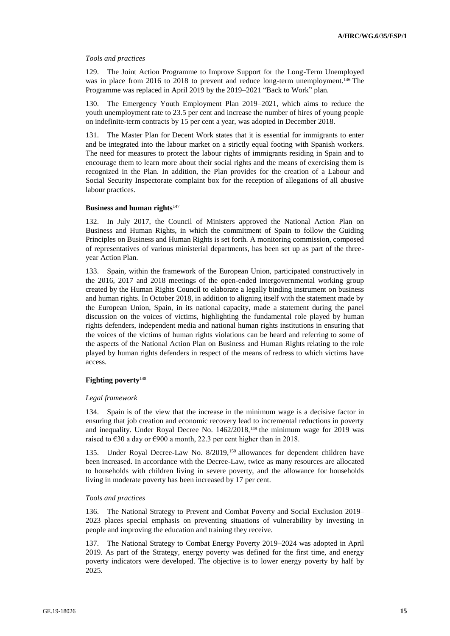#### *Tools and practices*

129. The Joint Action Programme to Improve Support for the Long-Term Unemployed was in place from 2016 to 2018 to prevent and reduce long-term unemployment.<sup>146</sup> The Programme was replaced in April 2019 by the 2019–2021 "Back to Work" plan.

130. The Emergency Youth Employment Plan 2019–2021, which aims to reduce the youth unemployment rate to 23.5 per cent and increase the number of hires of young people on indefinite-term contracts by 15 per cent a year, was adopted in December 2018.

131. The Master Plan for Decent Work states that it is essential for immigrants to enter and be integrated into the labour market on a strictly equal footing with Spanish workers. The need for measures to protect the labour rights of immigrants residing in Spain and to encourage them to learn more about their social rights and the means of exercising them is recognized in the Plan. In addition, the Plan provides for the creation of a Labour and Social Security Inspectorate complaint box for the reception of allegations of all abusive labour practices.

#### **Business and human rights**<sup>147</sup>

132. In July 2017, the Council of Ministers approved the National Action Plan on Business and Human Rights, in which the commitment of Spain to follow the Guiding Principles on Business and Human Rights is set forth. A monitoring commission, composed of representatives of various ministerial departments, has been set up as part of the threeyear Action Plan.

133. Spain, within the framework of the European Union, participated constructively in the 2016, 2017 and 2018 meetings of the open-ended intergovernmental working group created by the Human Rights Council to elaborate a legally binding instrument on business and human rights. In October 2018, in addition to aligning itself with the statement made by the European Union, Spain, in its national capacity, made a statement during the panel discussion on the voices of victims, highlighting the fundamental role played by human rights defenders, independent media and national human rights institutions in ensuring that the voices of the victims of human rights violations can be heard and referring to some of the aspects of the National Action Plan on Business and Human Rights relating to the role played by human rights defenders in respect of the means of redress to which victims have access.

#### **Fighting poverty**<sup>148</sup>

#### *Legal framework*

134. Spain is of the view that the increase in the minimum wage is a decisive factor in ensuring that job creation and economic recovery lead to incremental reductions in poverty and inequality. Under Royal Decree No. 1462/2018,<sup>149</sup> the minimum wage for 2019 was raised to  $\epsilon$ 30 a day or  $\epsilon$ 900 a month, 22.3 per cent higher than in 2018.

135. Under Royal Decree-Law No. 8/2019,<sup>150</sup> allowances for dependent children have been increased. In accordance with the Decree-Law, twice as many resources are allocated to households with children living in severe poverty, and the allowance for households living in moderate poverty has been increased by 17 per cent.

#### *Tools and practices*

136. The National Strategy to Prevent and Combat Poverty and Social Exclusion 2019– 2023 places special emphasis on preventing situations of vulnerability by investing in people and improving the education and training they receive.

137. The National Strategy to Combat Energy Poverty 2019–2024 was adopted in April 2019. As part of the Strategy, energy poverty was defined for the first time, and energy poverty indicators were developed. The objective is to lower energy poverty by half by 2025.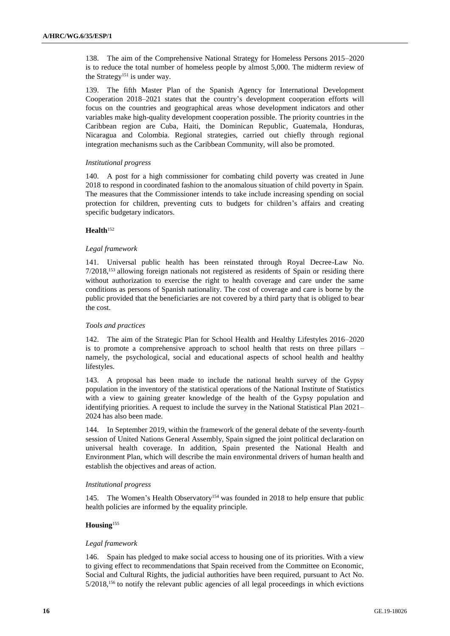138. The aim of the Comprehensive National Strategy for Homeless Persons 2015–2020 is to reduce the total number of homeless people by almost 5,000. The midterm review of the Strategy<sup>151</sup> is under way.

139. The fifth Master Plan of the Spanish Agency for International Development Cooperation 2018–2021 states that the country's development cooperation efforts will focus on the countries and geographical areas whose development indicators and other variables make high-quality development cooperation possible. The priority countries in the Caribbean region are Cuba, Haiti, the Dominican Republic, Guatemala, Honduras, Nicaragua and Colombia. Regional strategies, carried out chiefly through regional integration mechanisms such as the Caribbean Community, will also be promoted.

### *Institutional progress*

140. A post for a high commissioner for combating child poverty was created in June 2018 to respond in coordinated fashion to the anomalous situation of child poverty in Spain. The measures that the Commissioner intends to take include increasing spending on social protection for children, preventing cuts to budgets for children's affairs and creating specific budgetary indicators.

# **Health**<sup>152</sup>

### *Legal framework*

141. Universal public health has been reinstated through Royal Decree-Law No. 7/2018,<sup>153</sup> allowing foreign nationals not registered as residents of Spain or residing there without authorization to exercise the right to health coverage and care under the same conditions as persons of Spanish nationality. The cost of coverage and care is borne by the public provided that the beneficiaries are not covered by a third party that is obliged to bear the cost.

# *Tools and practices*

142. The aim of the Strategic Plan for School Health and Healthy Lifestyles 2016–2020 is to promote a comprehensive approach to school health that rests on three pillars – namely, the psychological, social and educational aspects of school health and healthy lifestyles.

143. A proposal has been made to include the national health survey of the Gypsy population in the inventory of the statistical operations of the National Institute of Statistics with a view to gaining greater knowledge of the health of the Gypsy population and identifying priorities. A request to include the survey in the National Statistical Plan 2021– 2024 has also been made.

144. In September 2019, within the framework of the general debate of the seventy-fourth session of United Nations General Assembly, Spain signed the joint political declaration on universal health coverage. In addition, Spain presented the National Health and Environment Plan, which will describe the main environmental drivers of human health and establish the objectives and areas of action.

#### *Institutional progress*

145. The Women's Health Observatory<sup>154</sup> was founded in 2018 to help ensure that public health policies are informed by the equality principle.

# **Housing**<sup>155</sup>

# *Legal framework*

146. Spain has pledged to make social access to housing one of its priorities. With a view to giving effect to recommendations that Spain received from the Committee on Economic, Social and Cultural Rights, the judicial authorities have been required, pursuant to Act No. 5/2018,<sup>156</sup> to notify the relevant public agencies of all legal proceedings in which evictions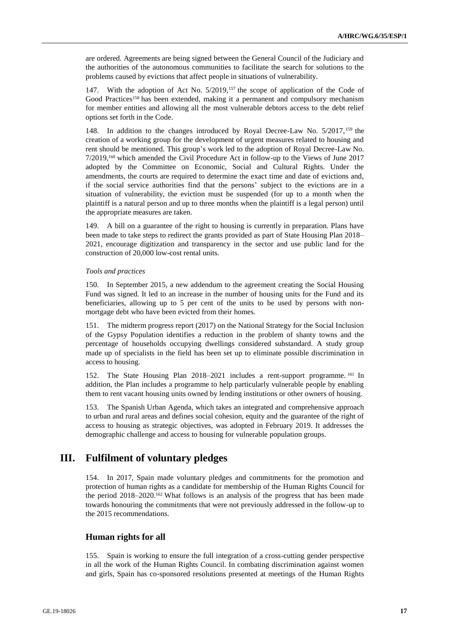are ordered. Agreements are being signed between the General Council of the Judiciary and the authorities of the autonomous communities to facilitate the search for solutions to the problems caused by evictions that affect people in situations of vulnerability.

147. With the adoption of Act No. 5/2019,<sup>157</sup> the scope of application of the Code of Good Practices<sup>158</sup> has been extended, making it a permanent and compulsory mechanism for member entities and allowing all the most vulnerable debtors access to the debt relief options set forth in the Code.

148. In addition to the changes introduced by Royal Decree-Law No. 5/2017, <sup>159</sup> the creation of a working group for the development of urgent measures related to housing and rent should be mentioned. This group's work led to the adoption of Royal Decree-Law No. 7/2019,<sup>160</sup> which amended the Civil Procedure Act in follow-up to the Views of June 2017 adopted by the Committee on Economic, Social and Cultural Rights. Under the amendments, the courts are required to determine the exact time and date of evictions and, if the social service authorities find that the persons' subject to the evictions are in a situation of vulnerability, the eviction must be suspended (for up to a month when the plaintiff is a natural person and up to three months when the plaintiff is a legal person) until the appropriate measures are taken.

149. A bill on a guarantee of the right to housing is currently in preparation. Plans have been made to take steps to redirect the grants provided as part of State Housing Plan 2018– 2021, encourage digitization and transparency in the sector and use public land for the construction of 20,000 low-cost rental units.

#### *Tools and practices*

150. In September 2015, a new addendum to the agreement creating the Social Housing Fund was signed. It led to an increase in the number of housing units for the Fund and its beneficiaries, allowing up to 5 per cent of the units to be used by persons with nonmortgage debt who have been evicted from their homes.

151. The midterm progress report (2017) on the National Strategy for the Social Inclusion of the Gypsy Population identifies a reduction in the problem of shanty towns and the percentage of households occupying dwellings considered substandard. A study group made up of specialists in the field has been set up to eliminate possible discrimination in access to housing.

152. The State Housing Plan 2018–2021 includes a rent-support programme. <sup>161</sup> In addition, the Plan includes a programme to help particularly vulnerable people by enabling them to rent vacant housing units owned by lending institutions or other owners of housing.

153. The Spanish Urban Agenda, which takes an integrated and comprehensive approach to urban and rural areas and defines social cohesion, equity and the guarantee of the right of access to housing as strategic objectives, was adopted in February 2019. It addresses the demographic challenge and access to housing for vulnerable population groups.

# **III. Fulfilment of voluntary pledges**

154. In 2017, Spain made voluntary pledges and commitments for the promotion and protection of human rights as a candidate for membership of the Human Rights Council for the period  $2018-2020$ .<sup>162</sup> What follows is an analysis of the progress that has been made towards honouring the commitments that were not previously addressed in the follow-up to the 2015 recommendations.

# **Human rights for all**

155. Spain is working to ensure the full integration of a cross-cutting gender perspective in all the work of the Human Rights Council. In combating discrimination against women and girls, Spain has co-sponsored resolutions presented at meetings of the Human Rights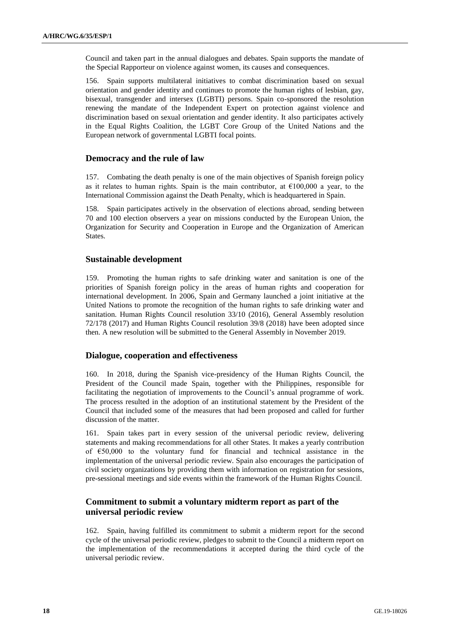Council and taken part in the annual dialogues and debates. Spain supports the mandate of the Special Rapporteur on violence against women, its causes and consequences.

156. Spain supports multilateral initiatives to combat discrimination based on sexual orientation and gender identity and continues to promote the human rights of lesbian, gay, bisexual, transgender and intersex (LGBTI) persons. Spain co-sponsored the resolution renewing the mandate of the Independent Expert on protection against violence and discrimination based on sexual orientation and gender identity. It also participates actively in the Equal Rights Coalition, the LGBT Core Group of the United Nations and the European network of governmental LGBTI focal points.

# **Democracy and the rule of law**

157. Combating the death penalty is one of the main objectives of Spanish foreign policy as it relates to human rights. Spain is the main contributor, at  $£100,000$  a year, to the International Commission against the Death Penalty, which is headquartered in Spain.

158. Spain participates actively in the observation of elections abroad, sending between 70 and 100 election observers a year on missions conducted by the European Union, the Organization for Security and Cooperation in Europe and the Organization of American States.

# **Sustainable development**

159. Promoting the human rights to safe drinking water and sanitation is one of the priorities of Spanish foreign policy in the areas of human rights and cooperation for international development. In 2006, Spain and Germany launched a joint initiative at the United Nations to promote the recognition of the human rights to safe drinking water and sanitation. Human Rights Council resolution 33/10 (2016), General Assembly resolution 72/178 (2017) and Human Rights Council resolution 39/8 (2018) have been adopted since then. A new resolution will be submitted to the General Assembly in November 2019.

# **Dialogue, cooperation and effectiveness**

160. In 2018, during the Spanish vice-presidency of the Human Rights Council, the President of the Council made Spain, together with the Philippines, responsible for facilitating the negotiation of improvements to the Council's annual programme of work. The process resulted in the adoption of an institutional statement by the President of the Council that included some of the measures that had been proposed and called for further discussion of the matter.

161. Spain takes part in every session of the universal periodic review, delivering statements and making recommendations for all other States. It makes a yearly contribution of €50,000 to the voluntary fund for financial and technical assistance in the implementation of the universal periodic review. Spain also encourages the participation of civil society organizations by providing them with information on registration for sessions, pre-sessional meetings and side events within the framework of the Human Rights Council.

# **Commitment to submit a voluntary midterm report as part of the universal periodic review**

162. Spain, having fulfilled its commitment to submit a midterm report for the second cycle of the universal periodic review, pledges to submit to the Council a midterm report on the implementation of the recommendations it accepted during the third cycle of the universal periodic review.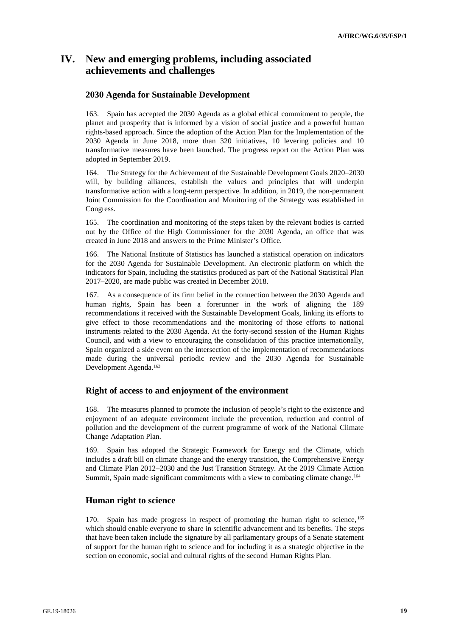# **IV. New and emerging problems, including associated achievements and challenges**

# **2030 Agenda for Sustainable Development**

163. Spain has accepted the 2030 Agenda as a global ethical commitment to people, the planet and prosperity that is informed by a vision of social justice and a powerful human rights-based approach. Since the adoption of the Action Plan for the Implementation of the 2030 Agenda in June 2018, more than 320 initiatives, 10 levering policies and 10 transformative measures have been launched. The progress report on the Action Plan was adopted in September 2019.

164. The Strategy for the Achievement of the Sustainable Development Goals 2020–2030 will, by building alliances, establish the values and principles that will underpin transformative action with a long-term perspective. In addition, in 2019, the non-permanent Joint Commission for the Coordination and Monitoring of the Strategy was established in Congress.

165. The coordination and monitoring of the steps taken by the relevant bodies is carried out by the Office of the High Commissioner for the 2030 Agenda, an office that was created in June 2018 and answers to the Prime Minister's Office.

166. The National Institute of Statistics has launched a statistical operation on indicators for the 2030 Agenda for Sustainable Development. An electronic platform on which the indicators for Spain, including the statistics produced as part of the National Statistical Plan 2017–2020, are made public was created in December 2018.

167. As a consequence of its firm belief in the connection between the 2030 Agenda and human rights, Spain has been a forerunner in the work of aligning the 189 recommendations it received with the Sustainable Development Goals, linking its efforts to give effect to those recommendations and the monitoring of those efforts to national instruments related to the 2030 Agenda. At the forty-second session of the Human Rights Council, and with a view to encouraging the consolidation of this practice internationally, Spain organized a side event on the intersection of the implementation of recommendations made during the universal periodic review and the 2030 Agenda for Sustainable Development Agenda.<sup>163</sup>

# **Right of access to and enjoyment of the environment**

168. The measures planned to promote the inclusion of people's right to the existence and enjoyment of an adequate environment include the prevention, reduction and control of pollution and the development of the current programme of work of the National Climate Change Adaptation Plan.

169. Spain has adopted the Strategic Framework for Energy and the Climate, which includes a draft bill on climate change and the energy transition, the Comprehensive Energy and Climate Plan 2012–2030 and the Just Transition Strategy. At the 2019 Climate Action Summit, Spain made significant commitments with a view to combating climate change.<sup>164</sup>

# **Human right to science**

170. Spain has made progress in respect of promoting the human right to science, <sup>165</sup> which should enable everyone to share in scientific advancement and its benefits. The steps that have been taken include the signature by all parliamentary groups of a Senate statement of support for the human right to science and for including it as a strategic objective in the section on economic, social and cultural rights of the second Human Rights Plan.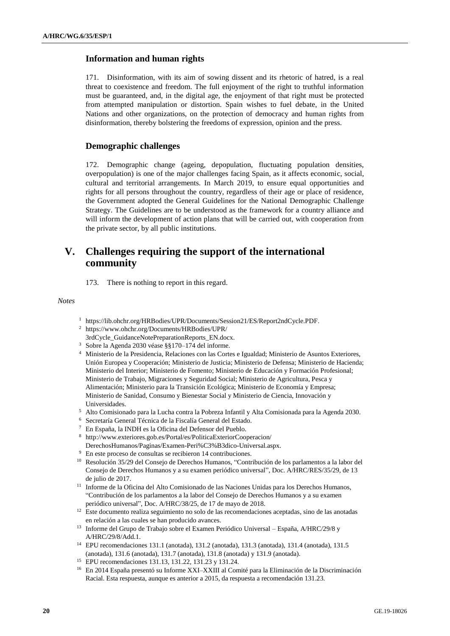# **Information and human rights**

171. Disinformation, with its aim of sowing dissent and its rhetoric of hatred, is a real threat to coexistence and freedom. The full enjoyment of the right to truthful information must be guaranteed, and, in the digital age, the enjoyment of that right must be protected from attempted manipulation or distortion. Spain wishes to fuel debate, in the United Nations and other organizations, on the protection of democracy and human rights from disinformation, thereby bolstering the freedoms of expression, opinion and the press.

# **Demographic challenges**

172. Demographic change (ageing, depopulation, fluctuating population densities, overpopulation) is one of the major challenges facing Spain, as it affects economic, social, cultural and territorial arrangements. In March 2019, to ensure equal opportunities and rights for all persons throughout the country, regardless of their age or place of residence, the Government adopted the General Guidelines for the National Demographic Challenge Strategy. The Guidelines are to be understood as the framework for a country alliance and will inform the development of action plans that will be carried out, with cooperation from the private sector, by all public institutions.

# **V. Challenges requiring the support of the international community**

173. There is nothing to report in this regard.

*Notes*

- <sup>1</sup> https://lib.ohchr.org/HRBodies/UPR/Documents/Session21/ES/Report2ndCycle.PDF.
- <sup>2</sup> https://www.ohchr.org/Documents/HRBodies/UPR/
- 3rdCycle\_GuidanceNotePreparationReports\_EN.docx.
- <sup>3</sup> Sobre la Agenda 2030 véase §§170–174 del informe.
- <sup>4</sup> Ministerio de la Presidencia, Relaciones con las Cortes e Igualdad; Ministerio de Asuntos Exteriores, Unión Europea y Cooperación; Ministerio de Justicia; Ministerio de Defensa; Ministerio de Hacienda; Ministerio del Interior; Ministerio de Fomento; Ministerio de Educación y Formación Profesional; Ministerio de Trabajo, Migraciones y Seguridad Social; Ministerio de Agricultura, Pesca y Alimentación; Ministerio para la Transición Ecológica; Ministerio de Economía y Empresa; Ministerio de Sanidad, Consumo y Bienestar Social y Ministerio de Ciencia, Innovación y Universidades.
- <sup>5</sup> Alto Comisionado para la Lucha contra la Pobreza Infantil y Alta Comisionada para la Agenda 2030.
- <sup>6</sup> Secretaría General Técnica de la Fiscalía General del Estado.
- <sup>7</sup> En España, la INDH es la Oficina del Defensor del Pueblo.
- <sup>8</sup> http://www.exteriores.gob.es/Portal/es/PoliticaExteriorCooperacion/ DerechosHumanos/Paginas/Examen-Peri%C3%B3dico-Universal.aspx.
- <sup>9</sup> En este proceso de consultas se recibieron 14 contribuciones.
- <sup>10</sup> Resolución 35/29 del Consejo de Derechos Humanos, "Contribución de los parlamentos a la labor del Consejo de Derechos Humanos y a su examen periódico universal", Doc. A/HRC/RES/35/29, de 13 de julio de 2017.
- <sup>11</sup> Informe de la Oficina del Alto Comisionado de las Naciones Unidas para los Derechos Humanos, "Contribución de los parlamentos a la labor del Consejo de Derechos Humanos y a su examen periódico universal", Doc. A/HRC/38/25, de 17 de mayo de 2018.
- <sup>12</sup> Este documento realiza seguimiento no solo de las recomendaciones aceptadas, sino de las anotadas en relación a las cuales se han producido avances.
- $^{13}\,$  Informe del Grupo de Trabajo sobre el Examen Periódico Universal España, A/HRC/29/8 y A/HRC/29/8/Add.1.
- <sup>14</sup> EPU recomendaciones 131.1 (anotada), 131.2 (anotada), 131.3 (anotada), 131.4 (anotada), 131.5 (anotada), 131.6 (anotada), 131.7 (anotada), 131.8 (anotada) y 131.9 (anotada).
- <sup>15</sup> EPU recomendaciones 131.13, 131.22, 131.23 y 131.24.
- <sup>16</sup> En 2014 España presentó su Informe XXI–XXIII al Comité para la Eliminación de la Discriminación Racial. Esta respuesta, aunque es anterior a 2015, da respuesta a recomendación 131.23.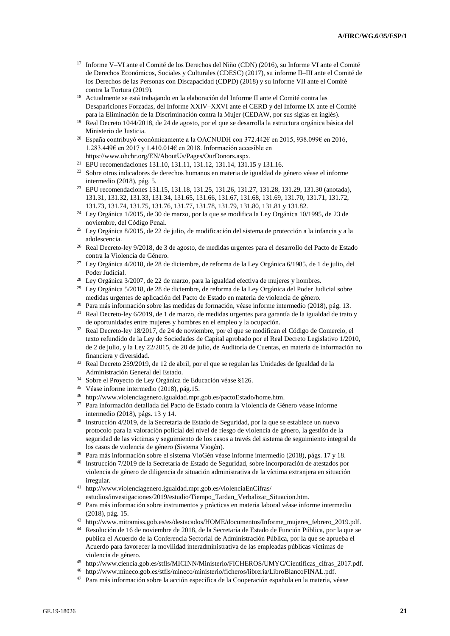- <sup>17</sup> Informe V–VI ante el Comité de los Derechos del Niño (CDN) (2016), su Informe VI ante el Comité de Derechos Económicos, Sociales y Culturales (CDESC) (2017), su informe II–III ante el Comité de los Derechos de las Personas con Discapacidad (CDPD) (2018) y su Informe VII ante el Comité contra la Tortura (2019).
- <sup>18</sup> Actualmente se está trabajando en la elaboración del Informe II ante el Comité contra las Desapariciones Forzadas, del Informe XXIV–XXVI ante el CERD y del Informe IX ante el Comité para la Eliminación de la Discriminación contra la Mujer (CEDAW, por sus siglas en inglés).
- <sup>19</sup> Real Decreto 1044/2018, de 24 de agosto, por el que se desarrolla la estructura orgánica básica del Ministerio de Justicia.
- <sup>20</sup> España contribuyó económicamente a la OACNUDH con 372.442€ en 2015, 938.099€ en 2016, 1.283.449€ en 2017 y 1.410.014€ en 2018. Información accesible en https://www.ohchr.org/EN/AboutUs/Pages/OurDonors.aspx.
- <sup>21</sup> EPU recomendaciones 131.10, 131.11, 131.12, 131.14, 131.15 y 131.16.
- $22$  Sobre otros indicadores de derechos humanos en materia de igualdad de género véase el informe intermedio (2018), pág. 5.
- <sup>23</sup> EPU recomendaciones 131.15, 131.18, 131.25, 131.26, 131.27, 131.28, 131.29, 131.30 (anotada), 131.31, 131.32, 131.33, 131.34, 131.65, 131.66, 131.67, 131.68, 131.69, 131.70, 131.71, 131.72, 131.73, 131.74, 131.75, 131.76, 131.77, 131.78, 131.79, 131.80, 131.81 y 131.82.
- <sup>24</sup> Ley Orgánica 1/2015, de 30 de marzo, por la que se modifica la Ley Orgánica 10/1995, de 23 de noviembre, del Código Penal.
- <sup>25</sup> Ley Orgánica 8/2015, de 22 de julio, de modificación del sistema de protección a la infancia y a la adolescencia.
- <sup>26</sup> Real Decreto-ley 9/2018, de 3 de agosto, de medidas urgentes para el desarrollo del Pacto de Estado contra la Violencia de Género.
- $27$  Ley Orgánica 4/2018, de 28 de diciembre, de reforma de la Ley Orgánica 6/1985, de 1 de julio, del Poder Judicial.
- <sup>28</sup> Ley Orgánica 3/2007, de 22 de marzo, para la igualdad efectiva de mujeres y hombres.
- <sup>29</sup> Ley Orgánica 5/2018, de 28 de diciembre, de reforma de la Ley Orgánica del Poder Judicial sobre medidas urgentes de aplicación del Pacto de Estado en materia de violencia de género.
- <sup>30</sup> Para más información sobre las medidas de formación, véase informe intermedio (2018), pág. 13.
- <sup>31</sup> Real Decreto-ley 6/2019, de 1 de marzo, de medidas urgentes para garantía de la igualdad de trato y de oportunidades entre mujeres y hombres en el empleo y la ocupación.
- <sup>32</sup> Real Decreto-ley 18/2017, de 24 de noviembre, por el que se modifican el Código de Comercio, el texto refundido de la Ley de Sociedades de Capital aprobado por el Real Decreto Legislativo 1/2010, de 2 de julio, y la Ley 22/2015, de 20 de julio, de Auditoría de Cuentas, en materia de información no financiera y diversidad.
- <sup>33</sup> Real Decreto 259/2019, de 12 de abril, por el que se regulan las Unidades de Igualdad de la Administración General del Estado.
- <sup>34</sup> Sobre el Proyecto de Ley Orgánica de Educación véase §126.
- <sup>35</sup> Véase informe intermedio (2018), pág.15.
- <sup>36</sup> http://www.violenciagenero.igualdad.mpr.gob.es/pactoEstado/home.htm.
- <sup>37</sup> Para información detallada del Pacto de Estado contra la Violencia de Género véase informe intermedio (2018), págs. 13 y 14.
- <sup>38</sup> Instrucción 4/2019, de la Secretaria de Estado de Seguridad, por la que se establece un nuevo protocolo para la valoración policial del nivel de riesgo de violencia de género, la gestión de la seguridad de las víctimas y seguimiento de los casos a través del sistema de seguimiento integral de los casos de violencia de género (Sistema Viogén).
- <sup>39</sup> Para más información sobre el sistema VioGén véase informe intermedio (2018), págs. 17 y 18.
- <sup>40</sup> Instrucción 7/2019 de la Secretaría de Estado de Seguridad, sobre incorporación de atestados por violencia de género de diligencia de situación administrativa de la víctima extranjera en situación irregular.
- <sup>41</sup> http://www.violenciagenero.igualdad.mpr.gob.es/violenciaEnCifras/ estudios/investigaciones/2019/estudio/Tiempo\_Tardan\_Verbalizar\_Situacion.htm.
- <sup>42</sup> Para más información sobre instrumentos y prácticas en materia laboral véase informe intermedio (2018), pág. 15.
- <sup>43</sup> http://www.mitramiss.gob.es/es/destacados/HOME/documentos/Informe\_mujeres\_febrero\_2019.pdf.
- <sup>44</sup> Resolución de 16 de noviembre de 2018, de la Secretaría de Estado de Función Pública, por la que se publica el Acuerdo de la Conferencia Sectorial de Administración Pública, por la que se aprueba el Acuerdo para favorecer la movilidad interadministrativa de las empleadas públicas víctimas de violencia de género.
- <sup>45</sup> http://www.ciencia.gob.es/stfls/MICINN/Ministerio/FICHEROS/UMYC/Cientificas\_cifras\_2017.pdf.
- <sup>46</sup> http://www.mineco.gob.es/stfls/mineco/ministerio/ficheros/libreria/LibroBlancoFINAL.pdf.
- <sup>47</sup> Para más información sobre la acción específica de la Cooperación española en la materia, véase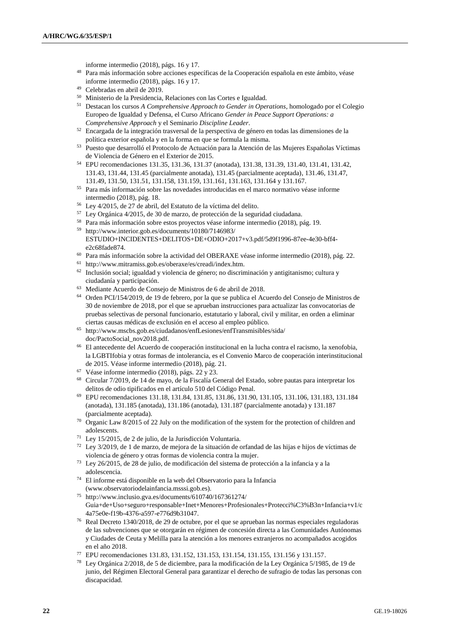informe intermedio (2018), págs. 16 y 17.

- <sup>48</sup> Para más información sobre acciones específicas de la Cooperación española en este ámbito, véase informe intermedio (2018), págs. 16 y 17.
- <sup>49</sup> Celebradas en abril de 2019.
- <sup>50</sup> Ministerio de la Presidencia, Relaciones con las Cortes e Igualdad.
- <sup>51</sup> Destacan los cursos *A Comprehensive Approach to Gender in Operations*, homologado por el Colegio Europeo de Igualdad y Defensa, el Curso Africano *Gender in Peace Support Operations: a Comprehensive Approach* y el Seminario *Discipline Leader*.
- <sup>52</sup> Encargada de la integración trasversal de la perspectiva de género en todas las dimensiones de la política exterior española y en la forma en que se formula la misma.
- <sup>53</sup> Puesto que desarrolló el Protocolo de Actuación para la Atención de las Mujeres Españolas Víctimas de Violencia de Género en el Exterior de 2015.
- <sup>54</sup> EPU recomendaciones 131.35, 131.36, 131.37 (anotada), 131.38, 131.39, 131.40, 131.41, 131.42, 131.43, 131.44, 131.45 (parcialmente anotada), 131.45 (parcialmente aceptada), 131.46, 131.47, 131.49, 131.50, 131.51, 131.158, 131.159, 131.161, 131.163, 131.164 y 131.167.
- <sup>55</sup> Para más información sobre las novedades introducidas en el marco normativo véase informe intermedio (2018), pág. 18.
- <sup>56</sup> Ley 4/2015, de 27 de abril, del Estatuto de la víctima del delito.
- <sup>57</sup> Ley Orgánica 4/2015, de 30 de marzo, de protección de la seguridad ciudadana.
- <sup>58</sup> Para más información sobre estos proyectos véase informe intermedio (2018), pág. 19. <sup>59</sup> http://www.interior.gob.es/documents/10180/7146983/
- ESTUDIO+INCIDENTES+DELITOS+DE+ODIO+2017+v3.pdf/5d9f1996-87ee-4e30-bff4 e2c68fade874.
- <sup>60</sup> Para más información sobre la actividad del OBERAXE véase informe intermedio (2018), pág. 22.
- <sup>61</sup> http://www.mitramiss.gob.es/oberaxe/es/creadi/index.htm.
- <sup>62</sup> Inclusión social; igualdad y violencia de género; no discriminación y antigitanismo; cultura y ciudadanía y participación.
- <sup>63</sup> Mediante Acuerdo de Consejo de Ministros de 6 de abril de 2018.
- <sup>64</sup> Orden PCI/154/2019, de 19 de febrero, por la que se publica el Acuerdo del Consejo de Ministros de 30 de noviembre de 2018, por el que se aprueban instrucciones para actualizar las convocatorias de pruebas selectivas de personal funcionario, estatutario y laboral, civil y militar, en orden a eliminar ciertas causas médicas de exclusión en el acceso al empleo público.
- <sup>65</sup> http://www.mscbs.gob.es/ciudadanos/enfLesiones/enfTransmisibles/sida/ doc/PactoSocial\_nov2018.pdf.
- <sup>66</sup> El antecedente del Acuerdo de cooperación institucional en la lucha contra el racismo, la xenofobia, la LGBTIfobia y otras formas de intolerancia, es el Convenio Marco de cooperación interinstitucional de 2015. Véase informe intermedio (2018), pág. 21.
- <sup>67</sup> Véase informe intermedio (2018), págs. 22 y 23.
- <sup>68</sup> Circular 7/2019, de 14 de mayo, de la Fiscalía General del Estado, sobre pautas para interpretar los delitos de odio tipificados en el artículo 510 del Código Penal.
- <sup>69</sup> EPU recomendaciones 131.18, 131.84, 131.85, 131.86, 131.90, 131.105, 131.106, 131.183, 131.184 (anotada), 131.185 (anotada), 131.186 (anotada), 131.187 (parcialmente anotada) y 131.187 (parcialmente aceptada).
- <sup>70</sup> Organic Law 8/2015 of 22 July on the modification of the system for the protection of children and adolescents.
- <sup>71</sup> Ley 15/2015, de 2 de julio, de la Jurisdicción Voluntaria.
- $72$  Ley 3/2019, de 1 de marzo, de mejora de la situación de orfandad de las hijas e hijos de víctimas de violencia de género y otras formas de violencia contra la mujer.
- <sup>73</sup> Ley 26/2015, de 28 de julio, de modificación del sistema de protección a la infancia y a la adolescencia.
- <sup>74</sup> El informe está disponible en la web del Observatorio para la Infancia [\(www.observatoriodelainfancia.msssi.gob.es\)](http://www.observatoriodelainfancia.msssi.gob.es/).
- <sup>75</sup> http://www.inclusio.gva.es/documents/610740/167361274/ Guia+de+Uso+seguro+responsable+Inet+Menores+Profesionales+Protecci%C3%B3n+Infancia+v1/c 4a75e0e-f19b-4376-a597-e776d9b31047.
- <sup>76</sup> Real Decreto 1340/2018, de 29 de octubre, por el que se aprueban las normas especiales reguladoras de las subvenciones que se otorgarán en régimen de concesión directa a las Comunidades Autónomas y Ciudades de Ceuta y Melilla para la atención a los menores extranjeros no acompañados acogidos en el año 2018.
- <sup>77</sup> EPU recomendaciones 131.83, 131.152, 131.153, 131.154, 131.155, 131.156 y 131.157.
- <sup>78</sup> Ley Orgánica 2/2018, de 5 de diciembre, para la modificación de la Ley Orgánica 5/1985, de 19 de junio, del Régimen Electoral General para garantizar el derecho de sufragio de todas las personas con discapacidad.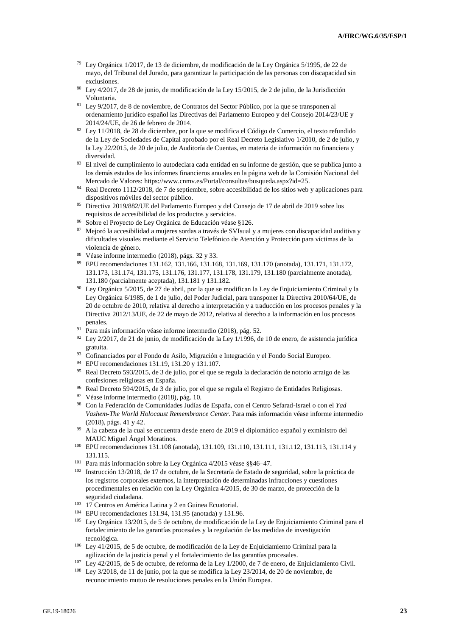- $79$  Ley Orgánica 1/2017, de 13 de diciembre, de modificación de la Ley Orgánica 5/1995, de 22 de mayo, del Tribunal del Jurado, para garantizar la participación de las personas con discapacidad sin exclusiones.
- <sup>80</sup> Ley 4/2017, de 28 de junio, de modificación de la Ley 15/2015, de 2 de julio, de la Jurisdicción Voluntaria.
- <sup>81</sup> Ley 9/2017, de 8 de noviembre, de Contratos del Sector Público, por la que se transponen al ordenamiento jurídico español las Directivas del Parlamento Europeo y del Consejo 2014/23/UE y 2014/24/UE, de 26 de febrero de 2014.
- <sup>82</sup> Ley 11/2018, de 28 de diciembre, por la que se modifica el Código de Comercio, el texto refundido de la Ley de Sociedades de Capital aprobado por el Real Decreto Legislativo 1/2010, de 2 de julio, y la Ley 22/2015, de 20 de julio, de Auditoría de Cuentas, en materia de información no financiera y diversidad.
- <sup>83</sup> El nivel de cumplimiento lo autodeclara cada entidad en su informe de gestión, que se publica junto a los demás estados de los informes financieros anuales en la página web de la Comisión Nacional del Mercado de Valores: [https://www.cnmv.es/Portal/consultas/busqueda.aspx?id=25.](https://www.cnmv.es/Portal/consultas/busqueda.aspx?id=25)
- <sup>84</sup> Real Decreto 1112/2018, de 7 de septiembre, sobre accesibilidad de los sitios web y aplicaciones para dispositivos móviles del sector público.
- <sup>85</sup> Directiva 2019/882/UE del Parlamento Europeo y del Consejo de 17 de abril de 2019 sobre los requisitos de accesibilidad de los productos y servicios.
- <sup>86</sup> Sobre el Proyecto de Ley Orgánica de Educación véase §126.
- <sup>87</sup> Mejoró la accesibilidad a mujeres sordas a través de SVIsual y a mujeres con discapacidad auditiva y dificultades visuales mediante el Servicio Telefónico de Atención y Protección para víctimas de la violencia de género.
- <sup>88</sup> Véase informe intermedio (2018), págs. 32 y 33.
- <sup>89</sup> EPU recomendaciones 131.162, 131.166, 131.168, 131.169, 131.170 (anotada), 131.171, 131.172, 131.173, 131.174, 131.175, 131.176, 131.177, 131.178, 131.179, 131.180 (parcialmente anotada), 131.180 (parcialmente aceptada), 131.181 y 131.182.
- <sup>90</sup> Ley Orgánica 5/2015, de 27 de abril, por la que se modifican la Ley de Enjuiciamiento Criminal y la Ley Orgánica 6/1985, de 1 de julio, del Poder Judicial, para transponer la Directiva 2010/64/UE, de 20 de octubre de 2010, relativa al derecho a interpretación y a traducción en los procesos penales y la Directiva 2012/13/UE, de 22 de mayo de 2012, relativa al derecho a la información en los procesos penales.
- <sup>91</sup> Para más información véase informe intermedio (2018), pág. 52.
- $92$  Ley 2/2017, de 21 de junio, de modificación de la Ley 1/1996, de 10 de enero, de asistencia jurídica gratuita.
- 93 Cofinanciados por el Fondo de Asilo, Migración e Integración y el Fondo Social Europeo.
- <sup>94</sup> EPU recomendaciones 131.19, 131.20 y 131.107.
- <sup>95</sup> Real Decreto 593/2015, de 3 de julio, por el que se regula la declaración de notorio arraigo de las confesiones religiosas en España.
- <sup>96</sup> Real Decreto 594/2015, de 3 de julio, por el que se regula el Registro de Entidades Religiosas.
- <sup>97</sup> Véase informe intermedio (2018), pág. 10.
- <sup>98</sup> Con la Federación de Comunidades Judías de España, con el Centro Sefarad-Israel o con el *Yad Vashem-The World Holocaust Remembrance Center*. Para más información véase informe intermedio (2018), págs. 41 y 42.
- <sup>99</sup> A la cabeza de la cual se encuentra desde enero de 2019 el diplomático español y exministro del MAUC Miguel Ángel Moratinos.
- <sup>100</sup> EPU recomendaciones 131.108 (anotada), 131.109, 131.110, 131.111, 131.112, 131.113, 131.114 y 131.115.
- <sup>101</sup> Para más información sobre la Ley Orgánica 4/2015 véase §§46–47.
- <sup>102</sup> Instrucción 13/2018, de 17 de octubre, de la Secretaría de Estado de seguridad, sobre la práctica de los registros corporales externos, la interpretación de determinadas infracciones y cuestiones procedimentales en relación con la Ley Orgánica 4/2015, de 30 de marzo, de protección de la seguridad ciudadana.
- <sup>103</sup> 17 Centros en América Latina y 2 en Guinea Ecuatorial.
- <sup>104</sup> EPU recomendaciones 131.94, 131.95 (anotada) y 131.96.
- <sup>105</sup> Ley Orgánica 13/2015, de 5 de octubre, de modificación de la Ley de Enjuiciamiento Criminal para el fortalecimiento de las garantías procesales y la regulación de las medidas de investigación tecnológica.
- <sup>106</sup> Ley 41/2015, de 5 de octubre, de modificación de la Ley de Enjuiciamiento Criminal para la agilización de la justicia penal y el fortalecimiento de las garantías procesales.
- <sup>107</sup> Ley 42/2015, de 5 de octubre, de reforma de la Ley 1/2000, de 7 de enero, de Enjuiciamiento Civil.
- <sup>108</sup> Ley 3/2018, de 11 de junio, por la que se modifica la Ley 23/2014, de 20 de noviembre, de reconocimiento mutuo de resoluciones penales en la Unión Europea.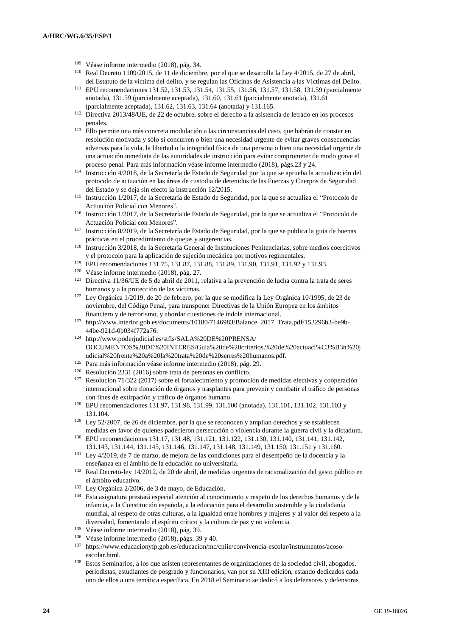- <sup>109</sup> Véase informe intermedio (2018), pág. 34.
- <sup>110</sup> Real Decreto 1109/2015, de 11 de diciembre, por el que se desarrolla la Ley 4/2015, de 27 de abril, del Estatuto de la víctima del delito, y se regulan las Oficinas de Asistencia a las Víctimas del Delito.
- <sup>111</sup> EPU recomendaciones 131.52, 131.53, 131.54, 131.55, 131.56, 131.57, 131.58, 131.59 (parcialmente anotada), 131.59 (parcialmente aceptada), 131.60, 131.61 (parcialmente anotada), 131.61 (parcialmente aceptada), 131.62, 131.63, 131.64 (anotada) y 131.165.
- <sup>112</sup> Directiva 2013/48/UE, de 22 de octubre, sobre el derecho a la asistencia de letrado en los procesos penales.
- <sup>113</sup> Ello permite una más concreta modulación a las circunstancias del caso, que habrán de constar en resolución motivada y sólo si concurren o bien una necesidad urgente de evitar graves consecuencias adversas para la vida, la libertad o la integridad física de una persona o bien una necesidad urgente de una actuación inmediata de las autoridades de instrucción para evitar comprometer de modo grave el proceso penal. Para más información véase informe intermedio (2018), págs.23 y 24.
- <sup>114</sup> Instrucción 4/2018, de la Secretaría de Estado de Seguridad por la que se aprueba la actualización del protocolo de actuación en las áreas de custodia de detenidos de las Fuerzas y Cuerpos de Seguridad del Estado y se deja sin efecto la Instrucción 12/2015.
- <sup>115</sup> Instrucción 1/2017, de la Secretaría de Estado de Seguridad, por la que se actualiza el "Protocolo de Actuación Policial con Menores".
- <sup>116</sup> Instrucción 1/2017, de la Secretaría de Estado de Seguridad, por la que se actualiza el "Protocolo de Actuación Policial con Menores".
- <sup>117</sup> Instrucción 8/2019, de la Secretaría de Estado de Seguridad, por la que se publica la guía de buenas prácticas en el procedimiento de quejas y sugerencias.
- <sup>118</sup> Instrucción 3/2018, de la Secretaría General de Instituciones Penitenciarias, sobre medios coercitivos y el protocolo para la aplicación de sujeción mecánica por motivos regimentales.
- <sup>119</sup> EPU recomendaciones 131.75, 131.87, 131.88, 131.89, 131.90, 131.91, 131.92 y 131.93.
- <sup>120</sup> Véase informe intermedio (2018), pág. 27.
- <sup>121</sup> Directiva 11/36/UE de 5 de abril de 2011, relativa a la prevención de lucha contra la trata de seres humanos y a la protección de las víctimas.
- <sup>122</sup> Ley Orgánica 1/2019, de 20 de febrero, por la que se modifica la Ley Orgánica 10/1995, de 23 de noviembre, del Código Penal, para transponer Directivas de la Unión Europea en los ámbitos financiero y de terrorismo, y abordar cuestiones de índole internacional.
- <sup>123</sup> http://www.interior.gob.es/documents/10180/7146983/Balance\_2017\_Trata.pdf/153296b3-be9b-44be-921d-0b034f772a76.
- <sup>124</sup> http://www.poderjudicial.es/stfls/SALA%20DE%20PRENSA/ DOCUMENTOS%20DE%20INTERES/Guia%20de%20criterios.%20de%20actuaci%C3%B3n%20j udicial%20frente%20a%20la%20trata%20de%20serres%20humanos.pdf.
- <sup>125</sup> Para más información véase informe intermedio (2018), pág. 29.
- <sup>126</sup> Resolución 2331 (2016) sobre trata de personas en conflicto.
- <sup>127</sup> Resolución 71/322 (2017) sobre el fortalecimiento y promoción de medidas efectivas y cooperación internacional sobre donación de órganos y trasplantes para prevenir y combatir el tráfico de personas con fines de extirpación y tráfico de órganos humano.
- <sup>128</sup> EPU recomendaciones 131.97, 131.98, 131.99, 131.100 (anotada), 131.101, 131.102, 131.103 y 131.104.
- $129$  Ley 52/2007, de 26 de diciembre, por la que se reconocen y amplían derechos y se establecen medidas en favor de quienes padecieron persecución o violencia durante la guerra civil y la dictadura.
- <sup>130</sup> EPU recomendaciones 131.17, 131.48, 131.121, 131.122, 131.130, 131.140, 131.141, 131.142, 131.143, 131.144, 131.145, 131.146, 131.147, 131.148, 131.149, 131.150, 131.151 y 131.160.
- <sup>131</sup> Ley 4/2019, de 7 de marzo, de mejora de las condiciones para el desempeño de la docencia y la enseñanza en el ámbito de la educación no universitaria.
- <sup>132</sup> Real Decreto-ley 14/2012, de 20 de abril, de medidas urgentes de racionalización del gasto público en el ámbito educativo.
- <sup>133</sup> Ley Orgánica 2/2006, de 3 de mayo, de Educación.
- <sup>134</sup> Esta asignatura prestará especial atención al conocimiento y respeto de los derechos humanos y de la infancia, a la Constitución española, a la educación para el desarrollo sostenible y la ciudadanía mundial, al respeto de otras culturas, a la igualdad entre hombres y mujeres y al valor del respeto a la diversidad, fomentando el espíritu crítico y la cultura de paz y no violencia.
- <sup>135</sup> Véase informe intermedio (2018), pág. 39.
- <sup>136</sup> Véase informe intermedio (2018), págs. 39 y 40.
- <sup>137</sup> https://www.educacionyfp.gob.es/educacion/mc/cniie/convivencia-escolar/instrumentos/acosoescolar.html.
- <sup>138</sup> Estos Seminarios, a los que asisten representantes de organizaciones de la sociedad civil, abogados, periodistas, estudiantes de posgrado y funcionarios, van por su XIII edición, estando dedicados cada uno de ellos a una temática específica. En 2018 el Seminario se dedicó a los defensores y defensoras